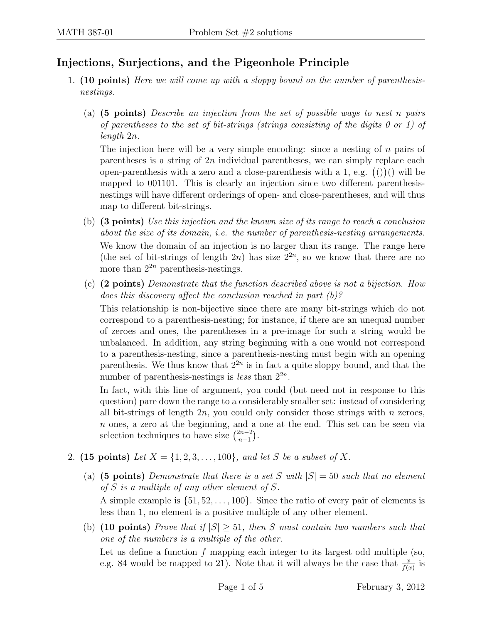## Injections, Surjections, and the Pigeonhole Principle

- 1. (10 points) Here we will come up with a sloppy bound on the number of parenthesisnestings.
	- (a) (5 points) Describe an injection from the set of possible ways to nest n pairs of parentheses to the set of bit-strings (strings consisting of the digits  $\theta$  or  $\theta$ ) of length 2n.

The injection here will be a very simple encoding: since a nesting of  $n$  pairs of parentheses is a string of 2n individual parentheses, we can simply replace each open-parenthesis with a zero and a close-parenthesis with a 1, e.g.  $(())()$  will be mapped to 001101. This is clearly an injection since two different parenthesisnestings will have different orderings of open- and close-parentheses, and will thus map to different bit-strings.

- (b) (3 points) Use this injection and the known size of its range to reach a conclusion about the size of its domain, i.e. the number of parenthesis-nesting arrangements. We know the domain of an injection is no larger than its range. The range here (the set of bit-strings of length  $2n$ ) has size  $2^{2n}$ , so we know that there are no more than  $2^{2n}$  parenthesis-nestings.
- (c) (2 points) Demonstrate that the function described above is not a bijection. How does this discovery affect the conclusion reached in part (b)?

This relationship is non-bijective since there are many bit-strings which do not correspond to a parenthesis-nesting; for instance, if there are an unequal number of zeroes and ones, the parentheses in a pre-image for such a string would be unbalanced. In addition, any string beginning with a one would not correspond to a parenthesis-nesting, since a parenthesis-nesting must begin with an opening parenthesis. We thus know that  $2^{2n}$  is in fact a quite sloppy bound, and that the number of parenthesis-nestings is *less* than  $2^{2n}$ .

In fact, with this line of argument, you could (but need not in response to this question) pare down the range to a considerably smaller set: instead of considering all bit-strings of length  $2n$ , you could only consider those strings with n zeroes, n ones, a zero at the beginning, and a one at the end. This set can be seen via selection techniques to have size  $\binom{2n-2}{n-1}$  $\binom{2n-2}{n-1}$ .

- 2. (15 points) Let  $X = \{1, 2, 3, ..., 100\}$ , and let S be a subset of X.
	- (a) (5 points) Demonstrate that there is a set S with  $|S| = 50$  such that no element of S is a multiple of any other element of S. A simple example is  $\{51, 52, \ldots, 100\}$ . Since the ratio of every pair of elements is less than 1, no element is a positive multiple of any other element.
	- (b) (10 points) Prove that if  $|S| \geq 51$ , then S must contain two numbers such that one of the numbers is a multiple of the other.

Let us define a function  $f$  mapping each integer to its largest odd multiple (so, e.g. 84 would be mapped to 21). Note that it will always be the case that  $\frac{x}{f(x)}$  is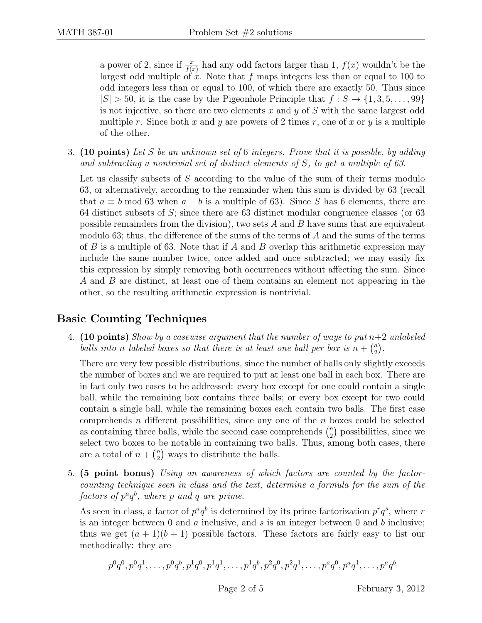a power of 2, since if  $\frac{x}{f(x)}$  had any odd factors larger than 1,  $f(x)$  wouldn't be the largest odd multiple of x. Note that  $f$  maps integers less than or equal to 100 to odd integers less than or equal to 100, of which there are exactly 50. Thus since  $|S| > 50$ , it is the case by the Pigeonhole Principle that  $f: S \to \{1, 3, 5, \ldots, 99\}$ is not injective, so there are two elements x and y of S with the same largest odd multiple r. Since both x and y are powers of 2 times r, one of x or y is a multiple of the other.

3. (10 points) Let S be an unknown set of 6 integers. Prove that it is possible, by adding and subtracting a nontrivial set of distinct elements of S, to get a multiple of 63.

Let us classify subsets of S according to the value of the sum of their terms modulo 63, or alternatively, according to the remainder when this sum is divided by 63 (recall that  $a \equiv b \mod 63$  when  $a - b$  is a multiple of 63). Since S has 6 elements, there are 64 distinct subsets of S; since there are 63 distinct modular congruence classes (or 63 possible remainders from the division), two sets  $A$  and  $B$  have sums that are equivalent modulo 63; thus, the difference of the sums of the terms of  $A$  and the sums of the terms of B is a multiple of 63. Note that if A and B overlap this arithmetic expression may include the same number twice, once added and once subtracted; we may easily fix this expression by simply removing both occurrences without affecting the sum. Since A and B are distinct, at least one of them contains an element not appearing in the other, so the resulting arithmetic expression is nontrivial.

## Basic Counting Techniques

4. (10 points) Show by a casewise argument that the number of ways to put  $n+2$  unlabeled balls into n labeled boxes so that there is at least one ball per box is  $n + \binom{n}{2}$  $\binom{n}{2}$  .

There are very few possible distributions, since the number of balls only slightly exceeds the number of boxes and we are required to put at least one ball in each box. There are in fact only two cases to be addressed: every box except for one could contain a single ball, while the remaining box contains three balls; or every box except for two could contain a single ball, while the remaining boxes each contain two balls. The first case comprehends n different possibilities, since any one of the  $n$  boxes could be selected as containing three balls, while the second case comprehends  $\binom{n}{2}$  $n_2$ ) possibilities, since we select two boxes to be notable in containing two balls. Thus, among both cases, there are a total of  $n + \binom{n}{2}$  $n_2$ ) ways to distribute the balls.

5. (5 point bonus) Using an awareness of which factors are counted by the factorcounting technique seen in class and the text, determine a formula for the sum of the factors of  $p^a q^b$ , where p and q are prime.

As seen in class, a factor of  $p^a q^b$  is determined by its prime factorization  $p^r q^s$ , where r is an integer between 0 and  $\alpha$  inclusive, and  $\beta$  is an integer between 0 and  $\beta$  inclusive; thus we get  $(a + 1)(b + 1)$  possible factors. These factors are fairly easy to list our methodically: they are

$$
p^0q^0, p^0q^1, \ldots, p^0q^b, p^1q^0, p^1q^1, \ldots, p^1q^b, p^2q^0, p^2q^1, \ldots, p^aq^0, p^aq^1, \ldots, p^aq^b
$$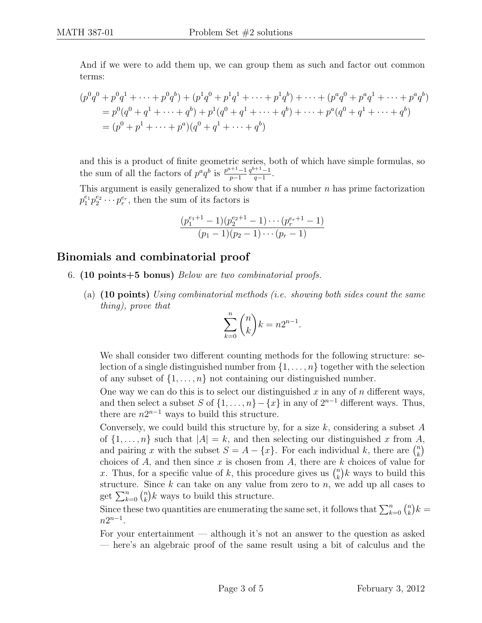And if we were to add them up, we can group them as such and factor out common terms:

$$
(p^{0}q^{0} + p^{0}q^{1} + \dots + p^{0}q^{b}) + (p^{1}q^{0} + p^{1}q^{1} + \dots + p^{1}q^{b}) + \dots + (p^{a}q^{0} + p^{a}q^{1} + \dots + p^{a}q^{b})
$$
  
=  $p^{0}(q^{0} + q^{1} + \dots + q^{b}) + p^{1}(q^{0} + q^{1} + \dots + q^{b}) + \dots + p^{a}(q^{0} + q^{1} + \dots + q^{b})$   
=  $(p^{0} + p^{1} + \dots + p^{a})(q^{0} + q^{1} + \dots + q^{b})$ 

and this is a product of finite geometric series, both of which have simple formulas, so the sum of all the factors of  $p^a q^b$  is  $\frac{p^{a+1}-1}{p-1}$  $p-1$  $q^{b+1}-1$  $\frac{q-1}{q-1}$ .

This argument is easily generalized to show that if a number  $n$  has prime factorization  $p_1^{e_1} p_2^{e_2} \cdots p_r^{e_r}$ , then the sum of its factors is

$$
\frac{(p_1^{e_1+1}-1)(p_2^{e_2+1}-1)\cdots(p_r^{e_r+1}-1)}{(p_1-1)(p_2-1)\cdots(p_r-1)}
$$

## Binomials and combinatorial proof

- 6. (10 points+5 bonus) Below are two combinatorial proofs.
	- (a)  $(10 \text{ points})$  Using combinatorial methods *(i.e. showing both sides count the same* thing), prove that

$$
\sum_{k=0}^{n} \binom{n}{k} k = n2^{n-1}.
$$

We shall consider two different counting methods for the following structure: selection of a single distinguished number from  $\{1, \ldots, n\}$  together with the selection of any subset of  $\{1, \ldots, n\}$  not containing our distinguished number.

One way we can do this is to select our distinguished  $x$  in any of  $n$  different ways, and then select a subset S of  $\{1, \ldots, n\} - \{x\}$  in any of  $2^{n-1}$  different ways. Thus, there are  $n2^{n-1}$  ways to build this structure.

Conversely, we could build this structure by, for a size  $k$ , considering a subset  $A$ of  $\{1, \ldots, n\}$  such that  $|A| = k$ , and then selecting our distinguished x from A, and pairing x with the subset  $S = A - \{x\}$ . For each individual k, there are  $\binom{n}{k}$  $\binom{n}{k}$ choices of  $A$ , and then since  $x$  is chosen from  $A$ , there are  $k$  choices of value for x. Thus, for a specific value of k, this procedure gives us  $\binom{n}{k}$  $\binom{n}{k}$  ways to build this structure. Since  $k$  can take on any value from zero to  $n$ , we add up all cases to get  $\sum_{k=0}^{n} \binom{n}{k}$  $\binom{n}{k}$  ways to build this structure.

Since these two quantities are enumerating the same set, it follows that  $\sum_{k=0}^{n} {n \choose k}$  $\binom{n}{k}k =$  $n2^{n-1}$ .

For your entertainment — although it's not an answer to the question as asked — here's an algebraic proof of the same result using a bit of calculus and the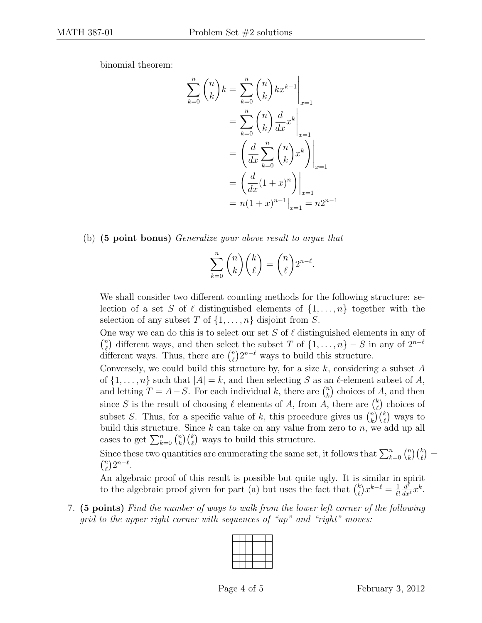binomial theorem:

$$
\sum_{k=0}^{n} \binom{n}{k} k = \sum_{k=0}^{n} \binom{n}{k} k x^{k-1} \Big|_{x=1}
$$

$$
= \sum_{k=0}^{n} \binom{n}{k} \frac{d}{dx} x^{k} \Big|_{x=1}
$$

$$
= \left( \frac{d}{dx} \sum_{k=0}^{n} \binom{n}{k} x^{k} \right) \Big|_{x=1}
$$

$$
= \left( \frac{d}{dx} (1+x)^{n} \right) \Big|_{x=1}
$$

$$
= n(1+x)^{n-1} \Big|_{x=1} = n2^{n-1}
$$

(b) (5 point bonus) Generalize your above result to argue that

$$
\sum_{k=0}^{n} \binom{n}{k} \binom{k}{\ell} = \binom{n}{\ell} 2^{n-\ell}.
$$

We shall consider two different counting methods for the following structure: selection of a set S of  $\ell$  distinguished elements of  $\{1, \ldots, n\}$  together with the selection of any subset T of  $\{1, \ldots, n\}$  disjoint from S.

One way we can do this is to select our set S of  $\ell$  distinguished elements in any of  $\binom{n}{\ell}$  different ways, and then select the subset T of  $\{1,\ldots,n\}$  – S in any of  $2^{n-\ell}$  $\chi_{\ell}$  different ways. Thus, there are  $\binom{n}{\ell}$  $\binom{n}{\ell} 2^{n-\ell}$  ways to build this structure.

Conversely, we could build this structure by, for a size  $k$ , considering a subset A of  $\{1, \ldots, n\}$  such that  $|A| = k$ , and then selecting S as an  $\ell$ -element subset of A, and letting  $T = A - S$ . For each individual k, there are  $\binom{n}{k}$  $\binom{n}{k}$  choices of A, and then since S is the result of choosing  $\ell$  elements of A, from A, there are  $\binom{k}{\ell}$  $\binom{k}{\ell}$  choices of subset S. Thus, for a specific value of k, this procedure gives us  $\binom{n}{k}$  $\binom{n}{k}\binom{k}{\ell}$  ways to build this structure. Since  $k$  can take on any value from zero to  $n$ , we add up all cases to get  $\sum_{k=0}^{n} \binom{n}{k}$  $\binom{n}{k}\binom{k}{\ell}$  ways to build this structure.

Since these two quantities are enumerating the same set, it follows that  $\sum_{k=0}^{n} {n \choose k}$  $\binom{n}{k}\binom{k}{\ell} =$  $\binom{n}{\ell}$  $\binom{n}{\ell} 2^{n-\ell}$ .

An algebraic proof of this result is possible but quite ugly. It is similar in spirit to the algebraic proof given for part (a) but uses the fact that  $\binom{k}{k}$  $\binom{k}{\ell} x^{k-\ell} = \frac{1}{\ell!}$  $\ell!$  $\frac{d^{\overline{\ell}}}{dx^{\ell}}x^k.$ 

7. (5 points) Find the number of ways to walk from the lower left corner of the following grid to the upper right corner with sequences of "up" and "right" moves: